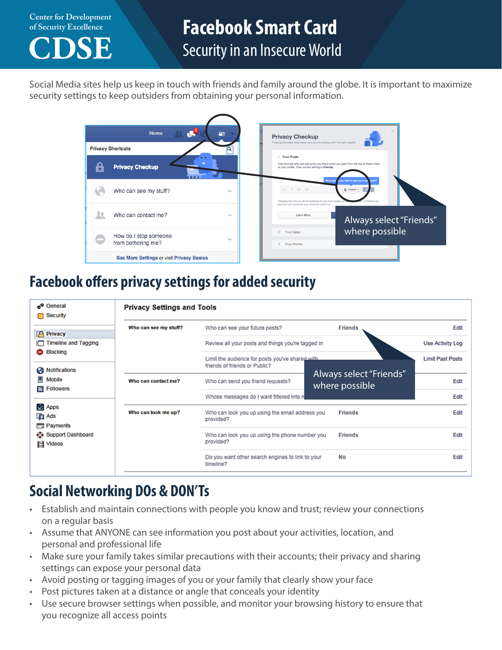**Center for Development** 



## **of Security Excellence Facebook Smart Card** Security in an Insecure World

Social Media sites help us keep in touch with friends and family around the globe. It is important to maximize security settings to keep outsiders from obtaining your personal information.



### **Facebook offers privacy settings for added security**

| General<br><b>Security</b>                                                          | <b>Privacy Settings and Tools</b> |                                                                                  |                                           |                         |  |  |
|-------------------------------------------------------------------------------------|-----------------------------------|----------------------------------------------------------------------------------|-------------------------------------------|-------------------------|--|--|
|                                                                                     | Who can see my stuff?             | Who can see your future posts?                                                   | <b>Friends</b>                            | Edit                    |  |  |
| <b>Privacy</b>                                                                      |                                   |                                                                                  |                                           |                         |  |  |
| <b>Timeline and Tagging</b><br>łП                                                   |                                   | Review all your posts and things you're tagged in                                | Use Activity Log                          |                         |  |  |
| Blocking<br>Notifications<br>œ                                                      |                                   | Limit the audience for posts you've shared with<br>friends of friends or Public? |                                           | <b>Limit Past Posts</b> |  |  |
| Mobile<br><b>Followers</b><br>$\mathbf{a}$                                          | Who can contact me?               | Who can send you friend requests?                                                | Always select "Friends"<br>where possible | Edit                    |  |  |
|                                                                                     |                                   | Whose messages do I want filtered into n                                         |                                           | Edit                    |  |  |
| <b>Apps</b><br><b>Tra</b> Ads<br><b>Exp</b> Payments<br>Support Dashboard<br>Videos | Who can look me up?               | Who can look you up using the email address you<br>provided?                     | <b>Friends</b>                            | Edit                    |  |  |
|                                                                                     |                                   | Who can look you up using the phone number you<br><b>Friends</b><br>provided?    |                                           | Edit                    |  |  |
|                                                                                     |                                   | Do you want other search engines to link to your<br>timeline?                    | No                                        | Edit                    |  |  |

## **Social Networking DOs & DON'Ts**

- Establish and maintain connections with people you know and trust; review your connections on a regular basis
- Assume that ANYONE can see information you post about your activities, location, and personal and professional life
- Make sure your family takes similar precautions with their accounts; their privacy and sharing settings can expose your personal data
- Avoid posting or tagging images of you or your family that clearly show your face
- Post pictures taken at a distance or angle that conceals your identity
- Use secure browser settings when possible, and monitor your browsing history to ensure that you recognize all access points